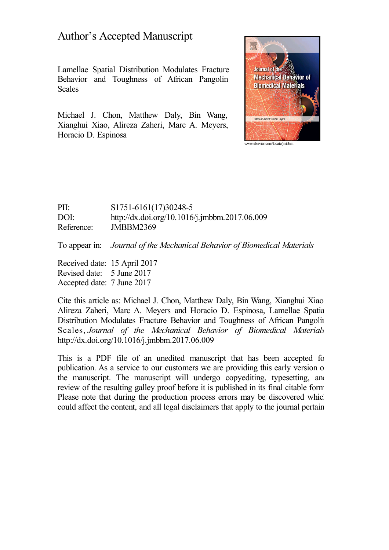# Author's Accepted Manuscript

Lamellae Spatial Distribution Modulates Fracture Behavior and Toughness of African Pangolin Scales

Michael J. Chon, Matthew Daly, Bin Wang, Xianghui Xiao, Alireza Zaheri, Marc A. Meyers, Horacio D. Espinosa



PII: S1751-6161(17)30248-5 DOI: <http://dx.doi.org/10.1016/j.jmbbm.2017.06.009> Reference: JMBBM2369

To appear in: *Journal of the Mechanical Behavior of Biomedical Materials*

Received date: 15 April 2017 Revised date: 5 June 2017 Accepted date: 7 June 2017

Cite this article as: Michael J. Chon, Matthew Daly, Bin Wang, Xianghui Xiao, Alireza Zaheri, Marc A. Meyers and Horacio D. Espinosa, Lamellae Spatial Distribution Modulates Fracture Behavior and Toughness of African Pangolin Scales, *Journal of the Mechanical Behavior of Biomedical Materials,* <http://dx.doi.org/10.1016/j.jmbbm.2017.06.009>

This is a PDF file of an unedited manuscript that has been accepted for publication. As a service to our customers we are providing this early version of the manuscript. The manuscript will undergo copyediting, typesetting, and review of the resulting galley proof before it is published in its final citable form. Please note that during the production process errors may be discovered which could affect the content, and all legal disclaimers that apply to the journal pertain.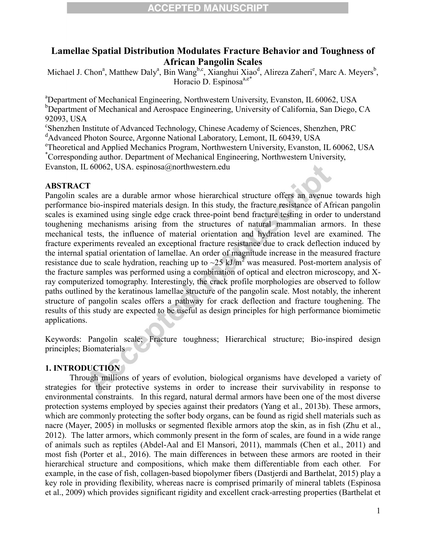### **Lamellae Spatial Distribution Modulates Fracture Behavior and Toughness of African Pangolin Scales**

Michael J. Chon<sup>a</sup>, Matthew Daly<sup>a</sup>, Bin Wang<sup>b,c</sup>, Xianghui Xiao<sup>d</sup>, Alireza Zaheri<sup>e</sup>, Marc A. Meyers<sup>b</sup>, Horacio D. Espinosa $a,e^*$ 

<sup>a</sup>Department of Mechanical Engineering, Northwestern University, Evanston, IL 60062, USA  $b$ Department of Mechanical and Aerospace Engineering, University of California, San Diego, CA 92093, USA

c Shenzhen Institute of Advanced Technology, Chinese Academy of Sciences, Shenzhen, PRC

<sup>d</sup>Advanced Photon Source, Argonne National Laboratory, Lemont, IL 60439, USA

e Theoretical and Applied Mechanics Program, Northwestern University, Evanston, IL 60062, USA \*Corresponding author. Department of Mechanical Engineering, Northwestern University,

Evanston, IL 60062, USA. espinosa@northwestern.edu

#### **ABSTRACT**

Pangolin scales are a durable armor whose hierarchical structure offers an avenue towards high performance bio-inspired materials design. In this study, the fracture resistance of African pangolin scales is examined using single edge crack three-point bend fracture testing in order to understand toughening mechanisms arising from the structures of natural mammalian armors. In these mechanical tests, the influence of material orientation and hydration level are examined. The fracture experiments revealed an exceptional fracture resistance due to crack deflection induced by the internal spatial orientation of lamellae. An order of magnitude increase in the measured fracture resistance due to scale hydration, reaching up to  $\sim$ 25 kJ/m<sup>2</sup> was measured. Post-mortem analysis of the fracture samples was performed using a combination of optical and electron microscopy, and Xray computerized tomography. Interestingly, the crack profile morphologies are observed to follow paths outlined by the keratinous lamellae structure of the pangolin scale. Most notably, the inherent structure of pangolin scales offers a pathway for crack deflection and fracture toughening. The results of this study are expected to be useful as design principles for high performance biomimetic applications.

Keywords: Pangolin scale; Fracture toughness; Hierarchical structure; Bio-inspired design principles; Biomaterials

#### **1. INTRODUCTION**

Through millions of years of evolution, biological organisms have developed a variety of strategies for their protective systems in order to increase their survivability in response to environmental constraints. In this regard, natural dermal armors have been one of the most diverse protection systems employed by species against their predators (Yang et al., 2013b). These armors, which are commonly protecting the softer body organs, can be found as rigid shell materials such as nacre (Mayer, 2005) in mollusks or segmented flexible armors atop the skin, as in fish (Zhu et al., 2012). The latter armors, which commonly present in the form of scales, are found in a wide range of animals such as reptiles (Abdel-Aal and El Mansori, 2011), mammals (Chen et al., 2011) and most fish (Porter et al., 2016). The main differences in between these armors are rooted in their hierarchical structure and compositions, which make them differentiable from each other. For example, in the case of fish, collagen-based biopolymer fibers (Dastjerdi and Barthelat, 2015) play a key role in providing flexibility, whereas nacre is comprised primarily of mineral tablets (Espinosa et al., 2009) which provides significant rigidity and excellent crack-arresting properties (Barthelat et